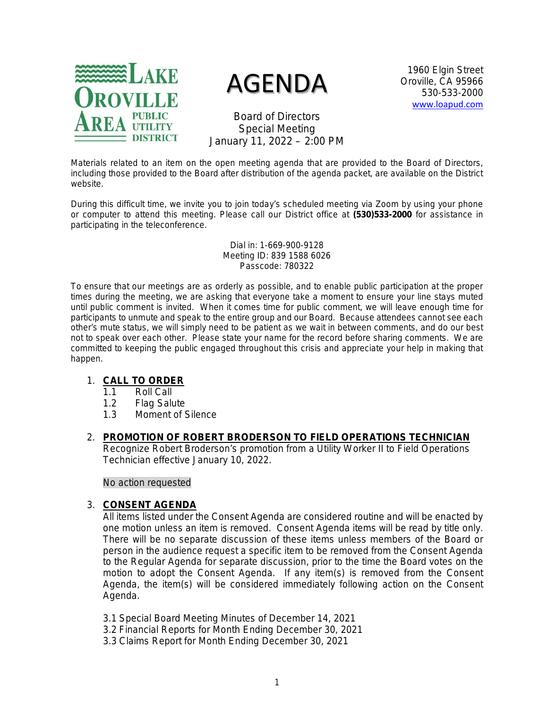

# AGENDA

1960 Elgin Street Oroville, CA 95966 530-533-2000 [www.loapud.com](http://www.loapud.com/)

Board of Directors Special Meeting January 11, 2022 – 2:00 PM

Materials related to an item on the open meeting agenda that are provided to the Board of Directors, including those provided to the Board after distribution of the agenda packet, are available on the District website.

During this difficult time, we invite you to join today's scheduled meeting via Zoom by using your phone or computer to attend this meeting. Please call our District office at **(530)533-2000** for assistance in participating in the teleconference.

> Dial in: 1-669-900-9128 Meeting ID: 839 1588 6026 Passcode: 780322

To ensure that our meetings are as orderly as possible, and to enable public participation at the proper times during the meeting, we are asking that everyone take a moment to ensure your line stays muted until public comment is invited. When it comes time for public comment, we will leave enough time for participants to unmute and speak to the entire group and our Board. Because attendees cannot see each other's mute status, we will simply need to be patient as we wait in between comments, and do our best not to speak over each other. Please state your name for the record before sharing comments. We are committed to keeping the public engaged throughout this crisis and appreciate your help in making that happen.

## 1. **CALL TO ORDER**

- 1.1 Roll Call
- 1.2 Flag Salute
- 1.3 Moment of Silence

#### 2. **PROMOTION OF ROBERT BRODERSON TO FIELD OPERATIONS TECHNICIAN** Recognize Robert Broderson's promotion from a Utility Worker II to Field Operations Technician effective January 10, 2022.

*No action requested*

#### 3. **CONSENT AGENDA**

All items listed under the Consent Agenda are considered routine and will be enacted by one motion unless an item is removed. Consent Agenda items will be read by title only. There will be no separate discussion of these items unless members of the Board or person in the audience request a specific item to be removed from the Consent Agenda to the Regular Agenda for separate discussion, prior to the time the Board votes on the motion to adopt the Consent Agenda. If any item(s) is removed from the Consent Agenda, the item(s) will be considered immediately following action on the Consent Agenda.

- 3.1 Special Board Meeting Minutes of December 14, 2021
- 3.2 Financial Reports for Month Ending December 30, 2021
- 3.3 Claims Report for Month Ending December 30, 2021